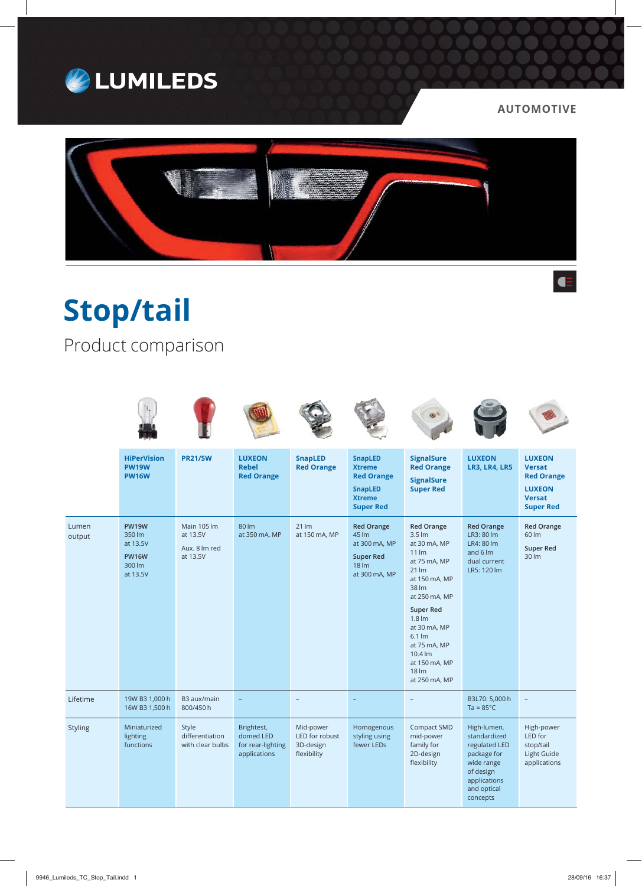

## **AUTOMOTIVE**



**Stop/tail**

Product comparison

|                 | <b>HiPerVision</b><br><b>PW19W</b><br><b>PW16W</b>                       | <b>PR21/5W</b>                                              | <b>LUXEON</b><br><b>Rebel</b><br><b>Red Orange</b>           | <b>SnapLED</b><br><b>Red Orange</b>                     | <b>SnapLED</b><br><b>Xtreme</b><br><b>Red Orange</b><br><b>SnapLED</b><br><b>Xtreme</b><br><b>Super Red</b> | <b>SignalSure</b><br><b>Red Orange</b><br><b>SignalSure</b><br><b>Super Red</b>                                                                                                                                                                                                                                                          | <b>LUXEON</b><br><b>LR3, LR4, LR5</b>                                                                                             | <b>LUXEON</b><br><b>Versat</b><br><b>Red Orange</b><br><b>LUXEON</b><br><b>Versat</b><br><b>Super Red</b> |
|-----------------|--------------------------------------------------------------------------|-------------------------------------------------------------|--------------------------------------------------------------|---------------------------------------------------------|-------------------------------------------------------------------------------------------------------------|------------------------------------------------------------------------------------------------------------------------------------------------------------------------------------------------------------------------------------------------------------------------------------------------------------------------------------------|-----------------------------------------------------------------------------------------------------------------------------------|-----------------------------------------------------------------------------------------------------------|
| Lumen<br>output | <b>PW19W</b><br>350 lm<br>at 13.5V<br><b>PW16W</b><br>300 lm<br>at 13.5V | <b>Main 105 lm</b><br>at 13.5V<br>Aux. 8 lm red<br>at 13.5V | 80 lm<br>at 350 mA, MP                                       | $21 \, \text{Im}$<br>at 150 mA, MP                      | <b>Red Orange</b><br>45 lm<br>at 300 mA, MP<br><b>Super Red</b><br>18 <sub>lm</sub><br>at 300 mA, MP        | <b>Red Orange</b><br>$3.5 \, \text{Im}$<br>at 30 mA, MP<br>$11 \, \text{Im}$<br>at 75 mA, MP<br>$21 \, \text{Im}$<br>at 150 mA, MP<br>38 lm<br>at 250 mA, MP<br><b>Super Red</b><br>$1.8 \, \text{Im}$<br>at 30 mA, MP<br>$6.1 \, \text{Im}$<br>at 75 mA, MP<br>$10.4 \text{ Im}$<br>at 150 mA, MP<br>$18 \, \text{Im}$<br>at 250 mA, MP | <b>Red Orange</b><br>LR3: 80 lm<br>LR4: 80 lm<br>and $6 \, \text{Im}$<br>dual current<br>LR5: 120 lm                              | <b>Red Orange</b><br>60 lm<br><b>Super Red</b><br>30 lm                                                   |
| Lifetime        | 19W B3 1,000 h<br>16W B3 1,500 h                                         | B3 aux/main<br>800/450h                                     |                                                              |                                                         |                                                                                                             |                                                                                                                                                                                                                                                                                                                                          | B3L70: 5,000 h<br>$Ta = 85^{\circ}C$                                                                                              | $\overline{\phantom{a}}$                                                                                  |
| Styling         | Miniaturized<br>lighting<br>functions                                    | Style<br>differentiation<br>with clear bulbs                | Brightest,<br>domed LED<br>for rear-lighting<br>applications | Mid-power<br>LED for robust<br>3D-design<br>flexibility | Homogenous<br>styling using<br>fewer LEDs                                                                   | Compact SMD<br>mid-power<br>family for<br>2D-design<br>flexibility                                                                                                                                                                                                                                                                       | High-lumen,<br>standardized<br>regulated LED<br>package for<br>wide range<br>of design<br>applications<br>and optical<br>concepts | High-power<br>LED for<br>stop/tail<br>Light Guide<br>applications                                         |